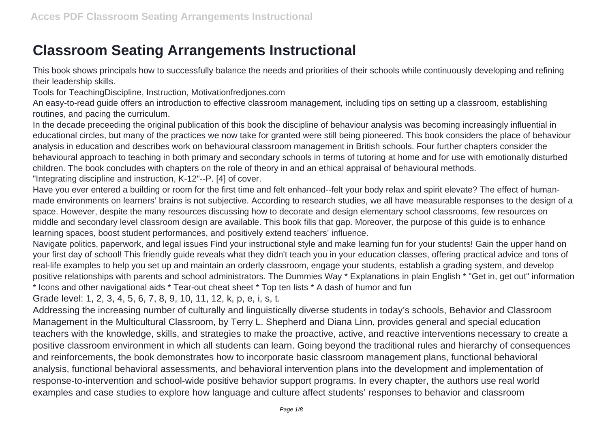## **Classroom Seating Arrangements Instructional**

This book shows principals how to successfully balance the needs and priorities of their schools while continuously developing and refining their leadership skills.

Tools for TeachingDiscipline, Instruction, Motivationfredjones.com

An easy-to-read guide offers an introduction to effective classroom management, including tips on setting up a classroom, establishing routines, and pacing the curriculum.

In the decade preceeding the original publication of this book the discipline of behaviour analysis was becoming increasingly influential in educational circles, but many of the practices we now take for granted were still being pioneered. This book considers the place of behaviour analysis in education and describes work on behavioural classroom management in British schools. Four further chapters consider the behavioural approach to teaching in both primary and secondary schools in terms of tutoring at home and for use with emotionally disturbed children. The book concludes with chapters on the role of theory in and an ethical appraisal of behavioural methods.

"Integrating discipline and instruction, K-12"--P. [4] of cover.

Have you ever entered a building or room for the first time and felt enhanced--felt your body relax and spirit elevate? The effect of humanmade environments on learners' brains is not subjective. According to research studies, we all have measurable responses to the design of a space. However, despite the many resources discussing how to decorate and design elementary school classrooms, few resources on middle and secondary level classroom design are available. This book fills that gap. Moreover, the purpose of this guide is to enhance learning spaces, boost student performances, and positively extend teachers' influence.

Navigate politics, paperwork, and legal issues Find your instructional style and make learning fun for your students! Gain the upper hand on your first day of school! This friendly guide reveals what they didn't teach you in your education classes, offering practical advice and tons of real-life examples to help you set up and maintain an orderly classroom, engage your students, establish a grading system, and develop positive relationships with parents and school administrators. The Dummies Way \* Explanations in plain English \* "Get in, get out" information \* Icons and other navigational aids \* Tear-out cheat sheet \* Top ten lists \* A dash of humor and fun

Grade level: 1, 2, 3, 4, 5, 6, 7, 8, 9, 10, 11, 12, k, p, e, i, s, t.

Addressing the increasing number of culturally and linguistically diverse students in today's schools, Behavior and Classroom Management in the Multicultural Classroom, by Terry L. Shepherd and Diana Linn, provides general and special education teachers with the knowledge, skills, and strategies to make the proactive, active, and reactive interventions necessary to create a positive classroom environment in which all students can learn. Going beyond the traditional rules and hierarchy of consequences and reinforcements, the book demonstrates how to incorporate basic classroom management plans, functional behavioral analysis, functional behavioral assessments, and behavioral intervention plans into the development and implementation of response-to-intervention and school-wide positive behavior support programs. In every chapter, the authors use real world examples and case studies to explore how language and culture affect students' responses to behavior and classroom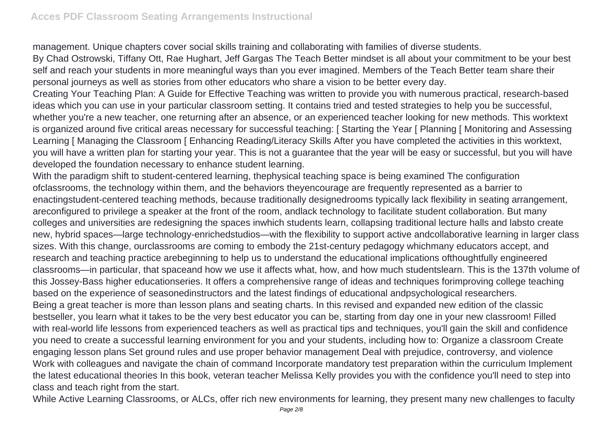management. Unique chapters cover social skills training and collaborating with families of diverse students.

By Chad Ostrowski, Tiffany Ott, Rae Hughart, Jeff Gargas The Teach Better mindset is all about your commitment to be your best self and reach your students in more meaningful ways than you ever imagined. Members of the Teach Better team share their personal journeys as well as stories from other educators who share a vision to be better every day.

Creating Your Teaching Plan: A Guide for Effective Teaching was written to provide you with numerous practical, research-based ideas which you can use in your particular classroom setting. It contains tried and tested strategies to help you be successful, whether you're a new teacher, one returning after an absence, or an experienced teacher looking for new methods. This worktext is organized around five critical areas necessary for successful teaching: [ Starting the Year [ Planning [ Monitoring and Assessing Learning [ Managing the Classroom [ Enhancing Reading/Literacy Skills After you have completed the activities in this worktext, you will have a written plan for starting your year. This is not a guarantee that the year will be easy or successful, but you will have developed the foundation necessary to enhance student learning.

With the paradigm shift to student-centered learning, thephysical teaching space is being examined The configuration ofclassrooms, the technology within them, and the behaviors theyencourage are frequently represented as a barrier to enactingstudent-centered teaching methods, because traditionally designedrooms typically lack flexibility in seating arrangement, areconfigured to privilege a speaker at the front of the room, andlack technology to facilitate student collaboration. But many colleges and universities are redesigning the spaces inwhich students learn, collapsing traditional lecture halls and labsto create new, hybrid spaces—large technology-enrichedstudios—with the flexibility to support active andcollaborative learning in larger class sizes. With this change, ourclassrooms are coming to embody the 21st-century pedagogy whichmany educators accept, and research and teaching practice arebeginning to help us to understand the educational implications ofthoughtfully engineered classrooms—in particular, that spaceand how we use it affects what, how, and how much studentslearn. This is the 137th volume of this Jossey-Bass higher educationseries. It offers a comprehensive range of ideas and techniques forimproving college teaching based on the experience of seasonedinstructors and the latest findings of educational andpsychological researchers. Being a great teacher is more than lesson plans and seating charts. In this revised and expanded new edition of the classic bestseller, you learn what it takes to be the very best educator you can be, starting from day one in your new classroom! Filled with real-world life lessons from experienced teachers as well as practical tips and techniques, you'll gain the skill and confidence you need to create a successful learning environment for you and your students, including how to: Organize a classroom Create engaging lesson plans Set ground rules and use proper behavior management Deal with prejudice, controversy, and violence Work with colleagues and navigate the chain of command Incorporate mandatory test preparation within the curriculum Implement the latest educational theories In this book, veteran teacher Melissa Kelly provides you with the confidence you'll need to step into class and teach right from the start.

While Active Learning Classrooms, or ALCs, offer rich new environments for learning, they present many new challenges to faculty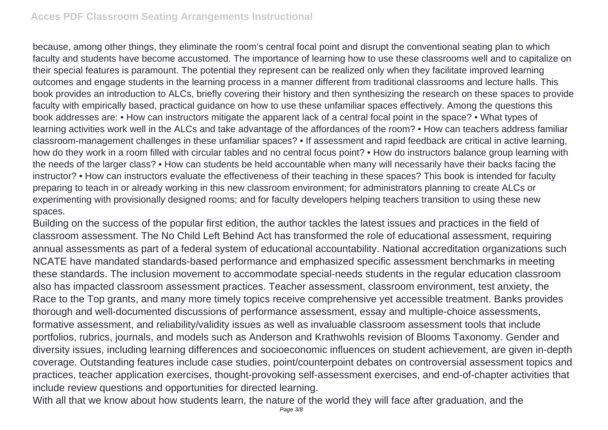because, among other things, they eliminate the room's central focal point and disrupt the conventional seating plan to which faculty and students have become accustomed. The importance of learning how to use these classrooms well and to capitalize on their special features is paramount. The potential they represent can be realized only when they facilitate improved learning outcomes and engage students in the learning process in a manner different from traditional classrooms and lecture halls. This book provides an introduction to ALCs, briefly covering their history and then synthesizing the research on these spaces to provide faculty with empirically based, practical guidance on how to use these unfamiliar spaces effectively. Among the questions this book addresses are: • How can instructors mitigate the apparent lack of a central focal point in the space? • What types of learning activities work well in the ALCs and take advantage of the affordances of the room? • How can teachers address familiar classroom-management challenges in these unfamiliar spaces? • If assessment and rapid feedback are critical in active learning, how do they work in a room filled with circular tables and no central focus point? • How do instructors balance group learning with the needs of the larger class? • How can students be held accountable when many will necessarily have their backs facing the instructor? • How can instructors evaluate the effectiveness of their teaching in these spaces? This book is intended for faculty preparing to teach in or already working in this new classroom environment; for administrators planning to create ALCs or experimenting with provisionally designed rooms; and for faculty developers helping teachers transition to using these new spaces.

Building on the success of the popular first edition, the author tackles the latest issues and practices in the field of classroom assessment. The No Child Left Behind Act has transformed the role of educational assessment, requiring annual assessments as part of a federal system of educational accountability. National accreditation organizations such NCATE have mandated standards-based performance and emphasized specific assessment benchmarks in meeting these standards. The inclusion movement to accommodate special-needs students in the regular education classroom also has impacted classroom assessment practices. Teacher assessment, classroom environment, test anxiety, the Race to the Top grants, and many more timely topics receive comprehensive yet accessible treatment. Banks provides thorough and well-documented discussions of performance assessment, essay and multiple-choice assessments, formative assessment, and reliability/validity issues as well as invaluable classroom assessment tools that include portfolios, rubrics, journals, and models such as Anderson and Krathwohls revision of Blooms Taxonomy. Gender and diversity issues, including learning differences and socioeconomic influences on student achievement, are given in-depth coverage. Outstanding features include case studies, point/counterpoint debates on controversial assessment topics and practices, teacher application exercises, thought-provoking self-assessment exercises, and end-of-chapter activities that include review questions and opportunities for directed learning.

With all that we know about how students learn, the nature of the world they will face after graduation, and the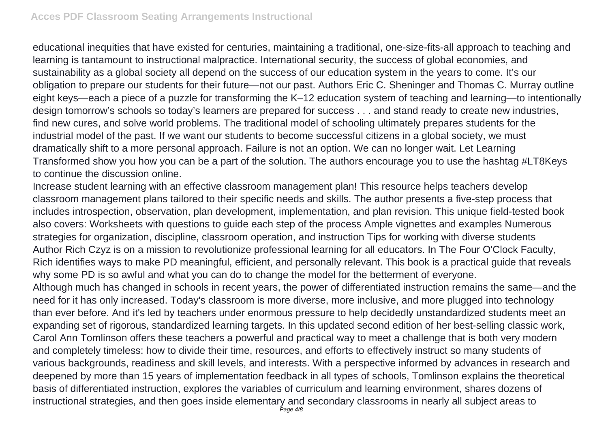educational inequities that have existed for centuries, maintaining a traditional, one-size-fits-all approach to teaching and learning is tantamount to instructional malpractice. International security, the success of global economies, and sustainability as a global society all depend on the success of our education system in the years to come. It's our obligation to prepare our students for their future—not our past. Authors Eric C. Sheninger and Thomas C. Murray outline eight keys—each a piece of a puzzle for transforming the K–12 education system of teaching and learning—to intentionally design tomorrow's schools so today's learners are prepared for success . . . and stand ready to create new industries, find new cures, and solve world problems. The traditional model of schooling ultimately prepares students for the industrial model of the past. If we want our students to become successful citizens in a global society, we must dramatically shift to a more personal approach. Failure is not an option. We can no longer wait. Let Learning Transformed show you how you can be a part of the solution. The authors encourage you to use the hashtag #LT8Keys to continue the discussion online.

Increase student learning with an effective classroom management plan! This resource helps teachers develop classroom management plans tailored to their specific needs and skills. The author presents a five-step process that includes introspection, observation, plan development, implementation, and plan revision. This unique field-tested book also covers: Worksheets with questions to guide each step of the process Ample vignettes and examples Numerous strategies for organization, discipline, classroom operation, and instruction Tips for working with diverse students Author Rich Czyz is on a mission to revolutionize professional learning for all educators. In The Four O'Clock Faculty, Rich identifies ways to make PD meaningful, efficient, and personally relevant. This book is a practical guide that reveals why some PD is so awful and what you can do to change the model for the betterment of everyone.

Although much has changed in schools in recent years, the power of differentiated instruction remains the same—and the need for it has only increased. Today's classroom is more diverse, more inclusive, and more plugged into technology than ever before. And it's led by teachers under enormous pressure to help decidedly unstandardized students meet an expanding set of rigorous, standardized learning targets. In this updated second edition of her best-selling classic work, Carol Ann Tomlinson offers these teachers a powerful and practical way to meet a challenge that is both very modern and completely timeless: how to divide their time, resources, and efforts to effectively instruct so many students of various backgrounds, readiness and skill levels, and interests. With a perspective informed by advances in research and deepened by more than 15 years of implementation feedback in all types of schools, Tomlinson explains the theoretical basis of differentiated instruction, explores the variables of curriculum and learning environment, shares dozens of instructional strategies, and then goes inside elementary and secondary classrooms in nearly all subject areas to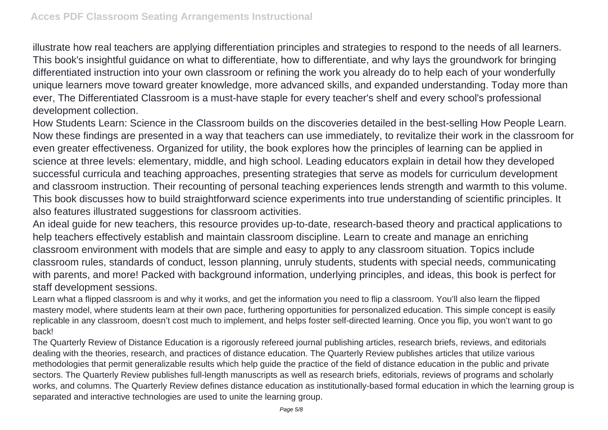illustrate how real teachers are applying differentiation principles and strategies to respond to the needs of all learners. This book's insightful guidance on what to differentiate, how to differentiate, and why lays the groundwork for bringing differentiated instruction into your own classroom or refining the work you already do to help each of your wonderfully unique learners move toward greater knowledge, more advanced skills, and expanded understanding. Today more than ever, The Differentiated Classroom is a must-have staple for every teacher's shelf and every school's professional development collection.

How Students Learn: Science in the Classroom builds on the discoveries detailed in the best-selling How People Learn. Now these findings are presented in a way that teachers can use immediately, to revitalize their work in the classroom for even greater effectiveness. Organized for utility, the book explores how the principles of learning can be applied in science at three levels: elementary, middle, and high school. Leading educators explain in detail how they developed successful curricula and teaching approaches, presenting strategies that serve as models for curriculum development and classroom instruction. Their recounting of personal teaching experiences lends strength and warmth to this volume. This book discusses how to build straightforward science experiments into true understanding of scientific principles. It also features illustrated suggestions for classroom activities.

An ideal guide for new teachers, this resource provides up-to-date, research-based theory and practical applications to help teachers effectively establish and maintain classroom discipline. Learn to create and manage an enriching classroom environment with models that are simple and easy to apply to any classroom situation. Topics include classroom rules, standards of conduct, lesson planning, unruly students, students with special needs, communicating with parents, and more! Packed with background information, underlying principles, and ideas, this book is perfect for staff development sessions.

Learn what a flipped classroom is and why it works, and get the information you need to flip a classroom. You'll also learn the flipped mastery model, where students learn at their own pace, furthering opportunities for personalized education. This simple concept is easily replicable in any classroom, doesn't cost much to implement, and helps foster self-directed learning. Once you flip, you won't want to go back!

The Quarterly Review of Distance Education is a rigorously refereed journal publishing articles, research briefs, reviews, and editorials dealing with the theories, research, and practices of distance education. The Quarterly Review publishes articles that utilize various methodologies that permit generalizable results which help guide the practice of the field of distance education in the public and private sectors. The Quarterly Review publishes full-length manuscripts as well as research briefs, editorials, reviews of programs and scholarly works, and columns. The Quarterly Review defines distance education as institutionally-based formal education in which the learning group is separated and interactive technologies are used to unite the learning group.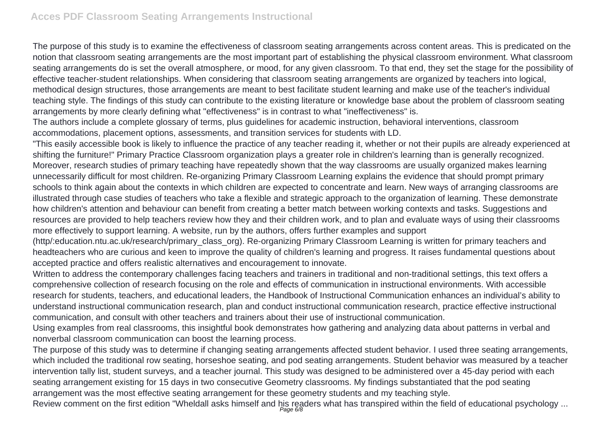The purpose of this study is to examine the effectiveness of classroom seating arrangements across content areas. This is predicated on the notion that classroom seating arrangements are the most important part of establishing the physical classroom environment. What classroom seating arrangements do is set the overall atmosphere, or mood, for any given classroom. To that end, they set the stage for the possibility of effective teacher-student relationships. When considering that classroom seating arrangements are organized by teachers into logical, methodical design structures, those arrangements are meant to best facilitate student learning and make use of the teacher's individual teaching style. The findings of this study can contribute to the existing literature or knowledge base about the problem of classroom seating arrangements by more clearly defining what "effectiveness" is in contrast to what "ineffectiveness" is.

The authors include a complete glossary of terms, plus guidelines for academic instruction, behavioral interventions, classroom accommodations, placement options, assessments, and transition services for students with LD.

"This easily accessible book is likely to influence the practice of any teacher reading it, whether or not their pupils are already experienced at shifting the furniture!" Primary Practice Classroom organization plays a greater role in children's learning than is generally recognized. Moreover, research studies of primary teaching have repeatedly shown that the way classrooms are usually organized makes learning unnecessarily difficult for most children. Re-organizing Primary Classroom Learning explains the evidence that should prompt primary schools to think again about the contexts in which children are expected to concentrate and learn. New ways of arranging classrooms are illustrated through case studies of teachers who take a flexible and strategic approach to the organization of learning. These demonstrate how children's attention and behaviour can benefit from creating a better match between working contexts and tasks. Suggestions and resources are provided to help teachers review how they and their children work, and to plan and evaluate ways of using their classrooms more effectively to support learning. A website, run by the authors, offers further examples and support

(http/:education.ntu.ac.uk/research/primary\_class\_org). Re-organizing Primary Classroom Learning is written for primary teachers and headteachers who are curious and keen to improve the quality of children's learning and progress. It raises fundamental questions about accepted practice and offers realistic alternatives and encouragement to innovate.

Written to address the contemporary challenges facing teachers and trainers in traditional and non-traditional settings, this text offers a comprehensive collection of research focusing on the role and effects of communication in instructional environments. With accessible research for students, teachers, and educational leaders, the Handbook of Instructional Communication enhances an individual's ability to understand instructional communication research, plan and conduct instructional communication research, practice effective instructional communication, and consult with other teachers and trainers about their use of instructional communication.

Using examples from real classrooms, this insightful book demonstrates how gathering and analyzing data about patterns in verbal and nonverbal classroom communication can boost the learning process.

The purpose of this study was to determine if changing seating arrangements affected student behavior. I used three seating arrangements, which included the traditional row seating, horseshoe seating, and pod seating arrangements. Student behavior was measured by a teacher intervention tally list, student surveys, and a teacher journal. This study was designed to be administered over a 45-day period with each seating arrangement existing for 15 days in two consecutive Geometry classrooms. My findings substantiated that the pod seating arrangement was the most effective seating arrangement for these geometry students and my teaching style.

Review comment on the first edition "Wheldall asks himself and his readers what has transpired within the field of educational psychology ...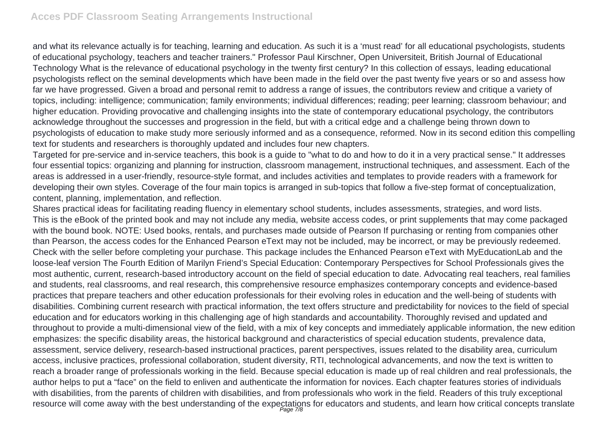and what its relevance actually is for teaching, learning and education. As such it is a 'must read' for all educational psychologists, students of educational psychology, teachers and teacher trainers." Professor Paul Kirschner, Open Universiteit, British Journal of Educational Technology What is the relevance of educational psychology in the twenty first century? In this collection of essays, leading educational psychologists reflect on the seminal developments which have been made in the field over the past twenty five years or so and assess how far we have progressed. Given a broad and personal remit to address a range of issues, the contributors review and critique a variety of topics, including: intelligence; communication; family environments; individual differences; reading; peer learning; classroom behaviour; and higher education. Providing provocative and challenging insights into the state of contemporary educational psychology, the contributors acknowledge throughout the successes and progression in the field, but with a critical edge and a challenge being thrown down to psychologists of education to make study more seriously informed and as a consequence, reformed. Now in its second edition this compelling text for students and researchers is thoroughly updated and includes four new chapters.

Targeted for pre-service and in-service teachers, this book is a guide to "what to do and how to do it in a very practical sense." It addresses four essential topics: organizing and planning for instruction, classroom management, instructional techniques, and assessment. Each of the areas is addressed in a user-friendly, resource-style format, and includes activities and templates to provide readers with a framework for developing their own styles. Coverage of the four main topics is arranged in sub-topics that follow a five-step format of conceptualization, content, planning, implementation, and reflection.

Shares practical ideas for facilitating reading fluency in elementary school students, includes assessments, strategies, and word lists. This is the eBook of the printed book and may not include any media, website access codes, or print supplements that may come packaged with the bound book. NOTE: Used books, rentals, and purchases made outside of Pearson If purchasing or renting from companies other than Pearson, the access codes for the Enhanced Pearson eText may not be included, may be incorrect, or may be previously redeemed. Check with the seller before completing your purchase. This package includes the Enhanced Pearson eText with MyEducationLab and the loose-leaf version The Fourth Edition of Marilyn Friend's Special Education: Contemporary Perspectives for School Professionals gives the most authentic, current, research-based introductory account on the field of special education to date. Advocating real teachers, real families and students, real classrooms, and real research, this comprehensive resource emphasizes contemporary concepts and evidence-based practices that prepare teachers and other education professionals for their evolving roles in education and the well-being of students with disabilities. Combining current research with practical information, the text offers structure and predictability for novices to the field of special education and for educators working in this challenging age of high standards and accountability. Thoroughly revised and updated and throughout to provide a multi-dimensional view of the field, with a mix of key concepts and immediately applicable information, the new edition emphasizes: the specific disability areas, the historical background and characteristics of special education students, prevalence data, assessment, service delivery, research-based instructional practices, parent perspectives, issues related to the disability area, curriculum access, inclusive practices, professional collaboration, student diversity, RTI, technological advancements, and now the text is written to reach a broader range of professionals working in the field. Because special education is made up of real children and real professionals, the author helps to put a "face" on the field to enliven and authenticate the information for novices. Each chapter features stories of individuals with disabilities, from the parents of children with disabilities, and from professionals who work in the field. Readers of this truly exceptional resource will come away with the best understanding of the expectations for educators and students, and learn how critical concepts translate